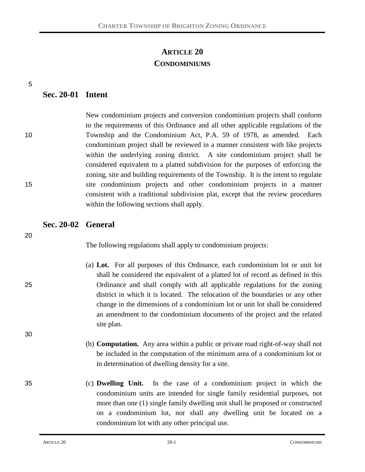# **ARTICLE 20 CONDOMINIUMS**

5

## **Sec. 20-01 Intent**

| New condominium projects and conversion condominium projects shall conform           |
|--------------------------------------------------------------------------------------|
| to the requirements of this Ordinance and all other applicable regulations of the    |
| Township and the Condominium Act, P.A. 59 of 1978, as amended. Each                  |
| condominium project shall be reviewed in a manner consistent with like projects      |
| within the underlying zoning district. A site condominium project shall be           |
| considered equivalent to a platted subdivision for the purposes of enforcing the     |
| zoning, site and building requirements of the Township. It is the intent to regulate |
| site condominium projects and other condominium projects in a manner                 |
| consistent with a traditional subdivision plat, except that the review procedures    |
| within the following sections shall apply.                                           |
|                                                                                      |

#### **Sec. 20-02 General**

20

30

The following regulations shall apply to condominium projects:

- (a) **Lot.** For all purposes of this Ordinance, each condominium lot or unit lot shall be considered the equivalent of a platted lot of record as defined in this 25 Ordinance and shall comply with all applicable regulations for the zoning district in which it is located. The relocation of the boundaries or any other change in the dimensions of a condominium lot or unit lot shall be considered an amendment to the condominium documents of the project and the related site plan.
	- (b) **Computation.** Any area within a public or private road right-of-way shall not be included in the computation of the minimum area of a condominium lot or in determination of dwelling density for a site.
- 35 (c) **Dwelling Unit.** In the case of a condominium project in which the condominium units are intended for single family residential purposes, not more than one (1) single family dwelling unit shall be proposed or constructed on a condominium lot, nor shall any dwelling unit be located on a condominium lot with any other principal use.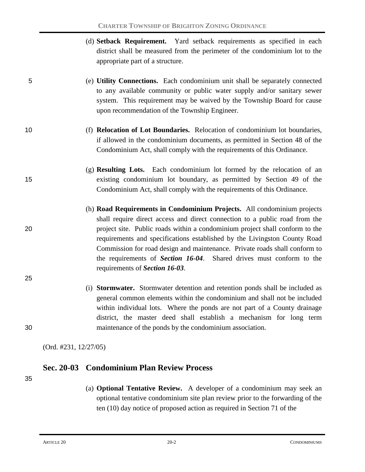- (d) **Setback Requirement.** Yard setback requirements as specified in each district shall be measured from the perimeter of the condominium lot to the appropriate part of a structure.
- 5 (e) **Utility Connections.** Each condominium unit shall be separately connected to any available community or public water supply and/or sanitary sewer system. This requirement may be waived by the Township Board for cause upon recommendation of the Township Engineer.
- 
- 10 (f) **Relocation of Lot Boundaries.** Relocation of condominium lot boundaries, if allowed in the condominium documents, as permitted in Section 48 of the Condominium Act, shall comply with the requirements of this Ordinance.
- (g) **Resulting Lots.** Each condominium lot formed by the relocation of an 15 existing condominium lot boundary, as permitted by Section 49 of the Condominium Act, shall comply with the requirements of this Ordinance.
- (h) **Road Requirements in Condominium Projects.** All condominium projects shall require direct access and direct connection to a public road from the 20 project site. Public roads within a condominium project shall conform to the requirements and specifications established by the Livingston County Road Commission for road design and maintenance. Private roads shall conform to the requirements of *Section 16-04*. Shared drives must conform to the requirements of *Section 16-03*.
- (i) **Stormwater.** Stormwater detention and retention ponds shall be included as general common elements within the condominium and shall not be included within individual lots. Where the ponds are not part of a County drainage district, the master deed shall establish a mechanism for long term 30 maintenance of the ponds by the condominium association.

(Ord. #231, 12/27/05)

### **Sec. 20-03 Condominium Plan Review Process**

35

25

(a) **Optional Tentative Review.** A developer of a condominium may seek an optional tentative condominium site plan review prior to the forwarding of the ten (10) day notice of proposed action as required in Section 71 of the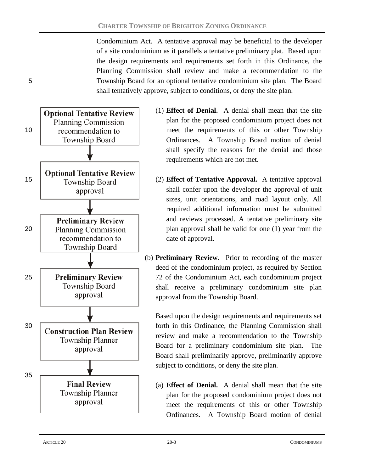Condominium Act. A tentative approval may be beneficial to the developer of a site condominium as it parallels a tentative preliminary plat. Based upon the design requirements and requirements set forth in this Ordinance, the Planning Commission shall review and make a recommendation to the 5 Township Board for an optional tentative condominium site plan. The Board shall tentatively approve, subject to conditions, or deny the site plan.



- (1) **Effect of Denial.** A denial shall mean that the site plan for the proposed condominium project does not 10 recommendation to meet the requirements of this or other Township Ordinances. A Township Board motion of denial shall specify the reasons for the denial and those requirements which are not met.
- 15 (2) **Effect of Tentative Approval.** A tentative approval shall confer upon the developer the approval of unit sizes, unit orientations, and road layout only. All required additional information must be submitted and reviews processed. A tentative preliminary site 20 **Planning Commission plan approval shall be valid for one (1) year from the** date of approval.
- (b) **Preliminary Review.** Prior to recording of the master deed of the condominium project, as required by Section 25 **Preliminary Review** 72 of the Condominium Act, each condominium project shall receive a preliminary condominium site plan approval from the Township Board.

Based upon the design requirements and requirements set 30 **Construction Plan Review** forth in this Ordinance, the Planning Commission shall review and make a recommendation to the Township Board for a preliminary condominium site plan. The Board shall preliminarily approve, preliminarily approve subject to conditions, or deny the site plan.

> (a) **Effect of Denial.** A denial shall mean that the site plan for the proposed condominium project does not meet the requirements of this or other Township Ordinances. A Township Board motion of denial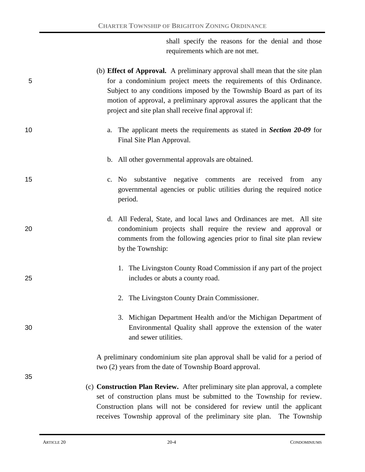shall specify the reasons for the denial and those requirements which are not met.

| 5  | (b) <b>Effect of Approval.</b> A preliminary approval shall mean that the site plan<br>for a condominium project meets the requirements of this Ordinance.<br>Subject to any conditions imposed by the Township Board as part of its<br>motion of approval, a preliminary approval assures the applicant that the<br>project and site plan shall receive final approval if: |
|----|-----------------------------------------------------------------------------------------------------------------------------------------------------------------------------------------------------------------------------------------------------------------------------------------------------------------------------------------------------------------------------|
| 10 | The applicant meets the requirements as stated in <i>Section</i> 20-09 for<br>a.<br>Final Site Plan Approval.                                                                                                                                                                                                                                                               |
|    | b. All other governmental approvals are obtained.                                                                                                                                                                                                                                                                                                                           |
| 15 | substantive negative comments<br>are received from<br>c. No<br>any<br>governmental agencies or public utilities during the required notice<br>period.                                                                                                                                                                                                                       |
| 20 | d. All Federal, State, and local laws and Ordinances are met. All site<br>condominium projects shall require the review and approval or<br>comments from the following agencies prior to final site plan review<br>by the Township:                                                                                                                                         |
| 25 | 1. The Livingston County Road Commission if any part of the project<br>includes or abuts a county road.                                                                                                                                                                                                                                                                     |
|    | 2. The Livingston County Drain Commissioner.                                                                                                                                                                                                                                                                                                                                |
| 30 | 3. Michigan Department Health and/or the Michigan Department of<br>Environmental Quality shall approve the extension of the water<br>and sewer utilities.                                                                                                                                                                                                                   |
| 35 | A preliminary condominium site plan approval shall be valid for a period of<br>two (2) years from the date of Township Board approval.                                                                                                                                                                                                                                      |
|    | (c) Construction Plan Review. After preliminary site plan approval, a complete<br>set of construction plans must be submitted to the Township for review.<br>Construction plans will not be considered for review until the applicant                                                                                                                                       |

receives Township approval of the preliminary site plan. The Township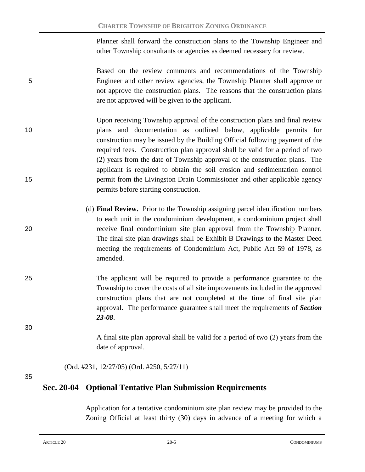Planner shall forward the construction plans to the Township Engineer and other Township consultants or agencies as deemed necessary for review.

Based on the review comments and recommendations of the Township 5 Engineer and other review agencies, the Township Planner shall approve or not approve the construction plans. The reasons that the construction plans are not approved will be given to the applicant.

- Upon receiving Township approval of the construction plans and final review 10 plans and documentation as outlined below, applicable permits for construction may be issued by the Building Official following payment of the required fees. Construction plan approval shall be valid for a period of two (2) years from the date of Township approval of the construction plans. The applicant is required to obtain the soil erosion and sedimentation control 15 permit from the Livingston Drain Commissioner and other applicable agency permits before starting construction.
- (d) **Final Review.** Prior to the Township assigning parcel identification numbers to each unit in the condominium development, a condominium project shall 20 receive final condominium site plan approval from the Township Planner. The final site plan drawings shall be Exhibit B Drawings to the Master Deed meeting the requirements of Condominium Act, Public Act 59 of 1978, as amended.
- 25 The applicant will be required to provide a performance guarantee to the Township to cover the costs of all site improvements included in the approved construction plans that are not completed at the time of final site plan approval. The performance guarantee shall meet the requirements of *Section 23-08*.

30

A final site plan approval shall be valid for a period of two (2) years from the date of approval.

(Ord. #231, 12/27/05) (Ord. #250, 5/27/11)

35

### **Sec. 20-04 Optional Tentative Plan Submission Requirements**

Application for a tentative condominium site plan review may be provided to the Zoning Official at least thirty (30) days in advance of a meeting for which a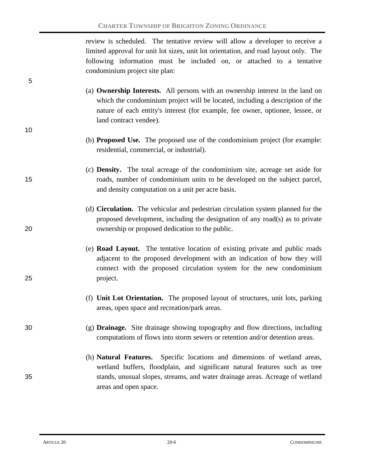review is scheduled. The tentative review will allow a developer to receive a limited approval for unit lot sizes, unit lot orientation, and road layout only. The following information must be included on, or attached to a tentative condominium project site plan:

- (a) **Ownership Interests.** All persons with an ownership interest in the land on which the condominium project will be located, including a description of the nature of each entity's interest (for example, fee owner, optionee, lessee, or land contract vendee).
	- (b) **Proposed Use.** The proposed use of the condominium project (for example: residential, commercial, or industrial).
- (c) **Density.** The total acreage of the condominium site, acreage set aside for 15 roads, number of condominium units to be developed on the subject parcel, and density computation on a unit per acre basis.
- (d) **Circulation.** The vehicular and pedestrian circulation system planned for the proposed development, including the designation of any road(s) as to private 20 ownership or proposed dedication to the public.
- (e) **Road Layout.** The tentative location of existing private and public roads adjacent to the proposed development with an indication of how they will connect with the proposed circulation system for the new condominium 25 project.
	- (f) **Unit Lot Orientation.** The proposed layout of structures, unit lots, parking areas, open space and recreation/park areas.

### 30 (g) **Drainage.** Site drainage showing topography and flow directions, including computations of flows into storm sewers or retention and/or detention areas.

(h) **Natural Features.** Specific locations and dimensions of wetland areas, wetland buffers, floodplain, and significant natural features such as tree 35 stands, unusual slopes, streams, and water drainage areas. Acreage of wetland areas and open space.

5

10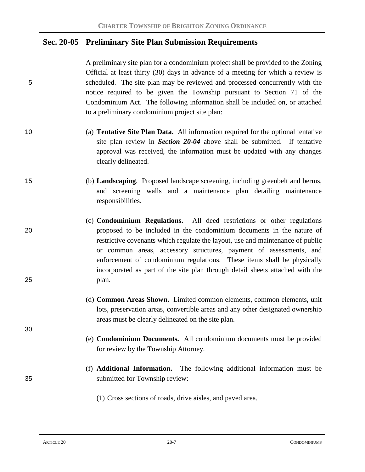### **Sec. 20-05 Preliminary Site Plan Submission Requirements**

A preliminary site plan for a condominium project shall be provided to the Zoning Official at least thirty (30) days in advance of a meeting for which a review is 5 scheduled. The site plan may be reviewed and processed concurrently with the notice required to be given the Township pursuant to Section 71 of the Condominium Act. The following information shall be included on, or attached to a preliminary condominium project site plan:

10 (a) **Tentative Site Plan Data.** All information required for the optional tentative site plan review in *Section 20-04* above shall be submitted. If tentative approval was received, the information must be updated with any changes clearly delineated.

15 (b) **Landscaping***.* Proposed landscape screening, including greenbelt and berms, and screening walls and a maintenance plan detailing maintenance responsibilities.

- (c) **Condominium Regulations.** All deed restrictions or other regulations 20 proposed to be included in the condominium documents in the nature of restrictive covenants which regulate the layout, use and maintenance of public or common areas, accessory structures, payment of assessments, and enforcement of condominium regulations. These items shall be physically incorporated as part of the site plan through detail sheets attached with the 25 plan.
	- (d) **Common Areas Shown.** Limited common elements, common elements, unit lots, preservation areas, convertible areas and any other designated ownership areas must be clearly delineated on the site plan.
	- (e) **Condominium Documents.** All condominium documents must be provided for review by the Township Attorney.
- (f) **Additional Information.** The following additional information must be 35 submitted for Township review:
	- (1) Cross sections of roads, drive aisles, and paved area.

30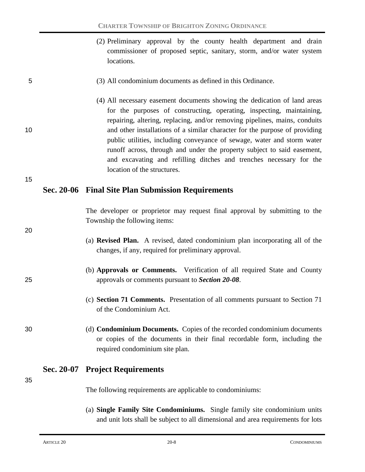(2) Preliminary approval by the county health department and drain commissioner of proposed septic, sanitary, storm, and/or water system locations.

#### 5 (3) All condominium documents as defined in this Ordinance.

(4) All necessary easement documents showing the dedication of land areas for the purposes of constructing, operating, inspecting, maintaining, repairing, altering, replacing, and/or removing pipelines, mains, conduits 10 and other installations of a similar character for the purpose of providing public utilities, including conveyance of sewage, water and storm water runoff across, through and under the property subject to said easement, and excavating and refilling ditches and trenches necessary for the location of the structures.

15

20

#### **Sec. 20-06 Final Site Plan Submission Requirements**

The developer or proprietor may request final approval by submitting to the Township the following items:

- (a) **Revised Plan.** A revised, dated condominium plan incorporating all of the changes, if any, required for preliminary approval.
- (b) **Approvals or Comments.** Verification of all required State and County 25 approvals or comments pursuant to *Section 20-08*.
	- (c) **Section 71 Comments.** Presentation of all comments pursuant to Section 71 of the Condominium Act.
- 30 (d) **Condominium Documents.** Copies of the recorded condominium documents or copies of the documents in their final recordable form, including the required condominium site plan.

### **Sec. 20-07 Project Requirements**

35

The following requirements are applicable to condominiums:

(a) **Single Family Site Condominiums.** Single family site condominium units and unit lots shall be subject to all dimensional and area requirements for lots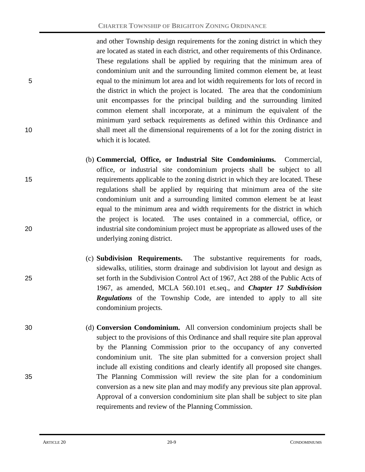and other Township design requirements for the zoning district in which they are located as stated in each district, and other requirements of this Ordinance. These regulations shall be applied by requiring that the minimum area of condominium unit and the surrounding limited common element be, at least 5 equal to the minimum lot area and lot width requirements for lots of record in the district in which the project is located. The area that the condominium unit encompasses for the principal building and the surrounding limited common element shall incorporate, at a minimum the equivalent of the minimum yard setback requirements as defined within this Ordinance and 10 shall meet all the dimensional requirements of a lot for the zoning district in which it is located.

- (b) **Commercial, Office, or Industrial Site Condominiums.** Commercial, office, or industrial site condominium projects shall be subject to all 15 requirements applicable to the zoning district in which they are located. These regulations shall be applied by requiring that minimum area of the site condominium unit and a surrounding limited common element be at least equal to the minimum area and width requirements for the district in which the project is located. The uses contained in a commercial, office, or 20 industrial site condominium project must be appropriate as allowed uses of the underlying zoning district.
- (c) **Subdivision Requirements.** The substantive requirements for roads, sidewalks, utilities, storm drainage and subdivision lot layout and design as 25 set forth in the Subdivision Control Act of 1967, Act 288 of the Public Acts of 1967, as amended, MCLA 560.101 et.seq., and *Chapter 17 Subdivision Regulations* of the Township Code, are intended to apply to all site condominium projects.
- 30 (d) **Conversion Condominium.** All conversion condominium projects shall be subject to the provisions of this Ordinance and shall require site plan approval by the Planning Commission prior to the occupancy of any converted condominium unit. The site plan submitted for a conversion project shall include all existing conditions and clearly identify all proposed site changes. 35 The Planning Commission will review the site plan for a condominium conversion as a new site plan and may modify any previous site plan approval. Approval of a conversion condominium site plan shall be subject to site plan requirements and review of the Planning Commission.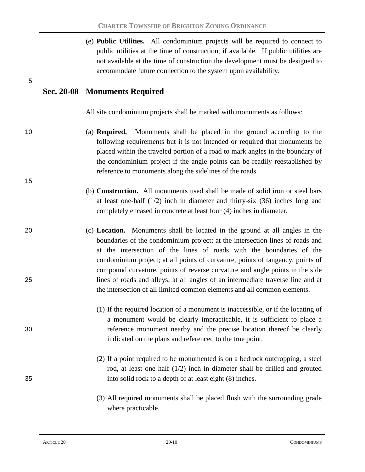| (e) <b>Public Utilities.</b> All condominium projects will be required to connect to |
|--------------------------------------------------------------------------------------|
| public utilities at the time of construction, if available. If public utilities are  |
| not available at the time of construction the development must be designed to        |
| accommodate future connection to the system upon availability.                       |

### **Sec. 20-08 Monuments Required**

5

15

All site condominium projects shall be marked with monuments as follows:

- 10 (a) **Required.** Monuments shall be placed in the ground according to the following requirements but it is not intended or required that monuments be placed within the traveled portion of a road to mark angles in the boundary of the condominium project if the angle points can be readily reestablished by reference to monuments along the sidelines of the roads.
	- (b) **Construction.** All monuments used shall be made of solid iron or steel bars at least one-half  $(1/2)$  inch in diameter and thirty-six  $(36)$  inches long and completely encased in concrete at least four (4) inches in diameter.
- 20 (c) **Location.** Monuments shall be located in the ground at all angles in the boundaries of the condominium project; at the intersection lines of roads and at the intersection of the lines of roads with the boundaries of the condominium project; at all points of curvature, points of tangency, points of compound curvature, points of reverse curvature and angle points in the side 25 lines of roads and alleys; at all angles of an intermediate traverse line and at the intersection of all limited common elements and all common elements.
- (1) If the required location of a monument is inaccessible, or if the locating of a monument would be clearly impracticable, it is sufficient to place a 30 reference monument nearby and the precise location thereof be clearly indicated on the plans and referenced to the true point.
- (2) If a point required to be monumented is on a bedrock outcropping, a steel rod, at least one half (1/2) inch in diameter shall be drilled and grouted 35 into solid rock to a depth of at least eight (8) inches.
	- (3) All required monuments shall be placed flush with the surrounding grade where practicable.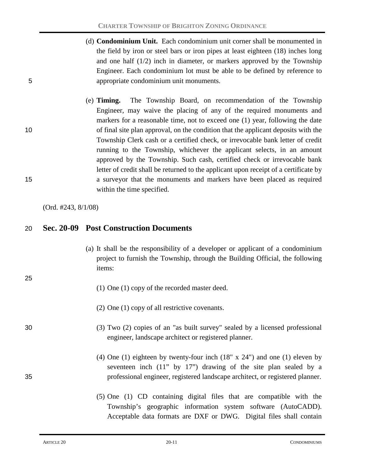- (d) **Condominium Unit.** Each condominium unit corner shall be monumented in the field by iron or steel bars or iron pipes at least eighteen (18) inches long and one half  $(1/2)$  inch in diameter, or markers approved by the Township Engineer. Each condominium lot must be able to be defined by reference to 5 appropriate condominium unit monuments.
- (e) **Timing.** The Township Board, on recommendation of the Township Engineer, may waive the placing of any of the required monuments and markers for a reasonable time, not to exceed one (1) year, following the date 10 of final site plan approval, on the condition that the applicant deposits with the Township Clerk cash or a certified check, or irrevocable bank letter of credit running to the Township, whichever the applicant selects, in an amount approved by the Township. Such cash, certified check or irrevocable bank letter of credit shall be returned to the applicant upon receipt of a certificate by 15 a surveyor that the monuments and markers have been placed as required within the time specified.

(Ord. #243, 8/1/08)

25

### 20 **Sec. 20-09 Post Construction Documents**

- (a) It shall be the responsibility of a developer or applicant of a condominium project to furnish the Township, through the Building Official, the following items:
	- (1) One (1) copy of the recorded master deed.
	- (2) One (1) copy of all restrictive covenants.
- 30 (3) Two (2) copies of an "as built survey" sealed by a licensed professional engineer, landscape architect or registered planner.
- (4) One (1) eighteen by twenty-four inch (18" x 24") and one (1) eleven by seventeen inch (11" by 17") drawing of the site plan sealed by a 35 professional engineer, registered landscape architect, or registered planner.
	- (5) One (1) CD containing digital files that are compatible with the Township's geographic information system software (AutoCADD). Acceptable data formats are DXF or DWG. Digital files shall contain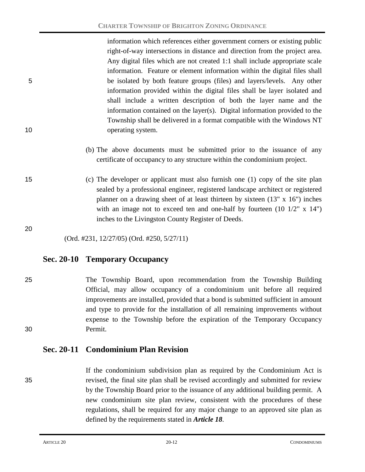information which references either government corners or existing public right-of-way intersections in distance and direction from the project area. Any digital files which are not created 1:1 shall include appropriate scale information. Feature or element information within the digital files shall 5 be isolated by both feature groups (files) and layers/levels. Any other information provided within the digital files shall be layer isolated and shall include a written description of both the layer name and the information contained on the layer(s). Digital information provided to the Township shall be delivered in a format compatible with the Windows NT 10 operating system.

- (b) The above documents must be submitted prior to the issuance of any certificate of occupancy to any structure within the condominium project.
- 15 (c) The developer or applicant must also furnish one (1) copy of the site plan sealed by a professional engineer, registered landscape architect or registered planner on a drawing sheet of at least thirteen by sixteen (13" x 16") inches with an image not to exceed ten and one-half by fourteen (10 1/2" x 14") inches to the Livingston County Register of Deeds.

20

(Ord. #231, 12/27/05) (Ord. #250, 5/27/11)

### **Sec. 20-10 Temporary Occupancy**

25 The Township Board, upon recommendation from the Township Building Official, may allow occupancy of a condominium unit before all required improvements are installed, provided that a bond is submitted sufficient in amount and type to provide for the installation of all remaining improvements without expense to the Township before the expiration of the Temporary Occupancy 30 Permit.

### **Sec. 20-11 Condominium Plan Revision**

If the condominium subdivision plan as required by the Condominium Act is 35 revised, the final site plan shall be revised accordingly and submitted for review by the Township Board prior to the issuance of any additional building permit. A new condominium site plan review, consistent with the procedures of these regulations, shall be required for any major change to an approved site plan as defined by the requirements stated in *Article 18*.